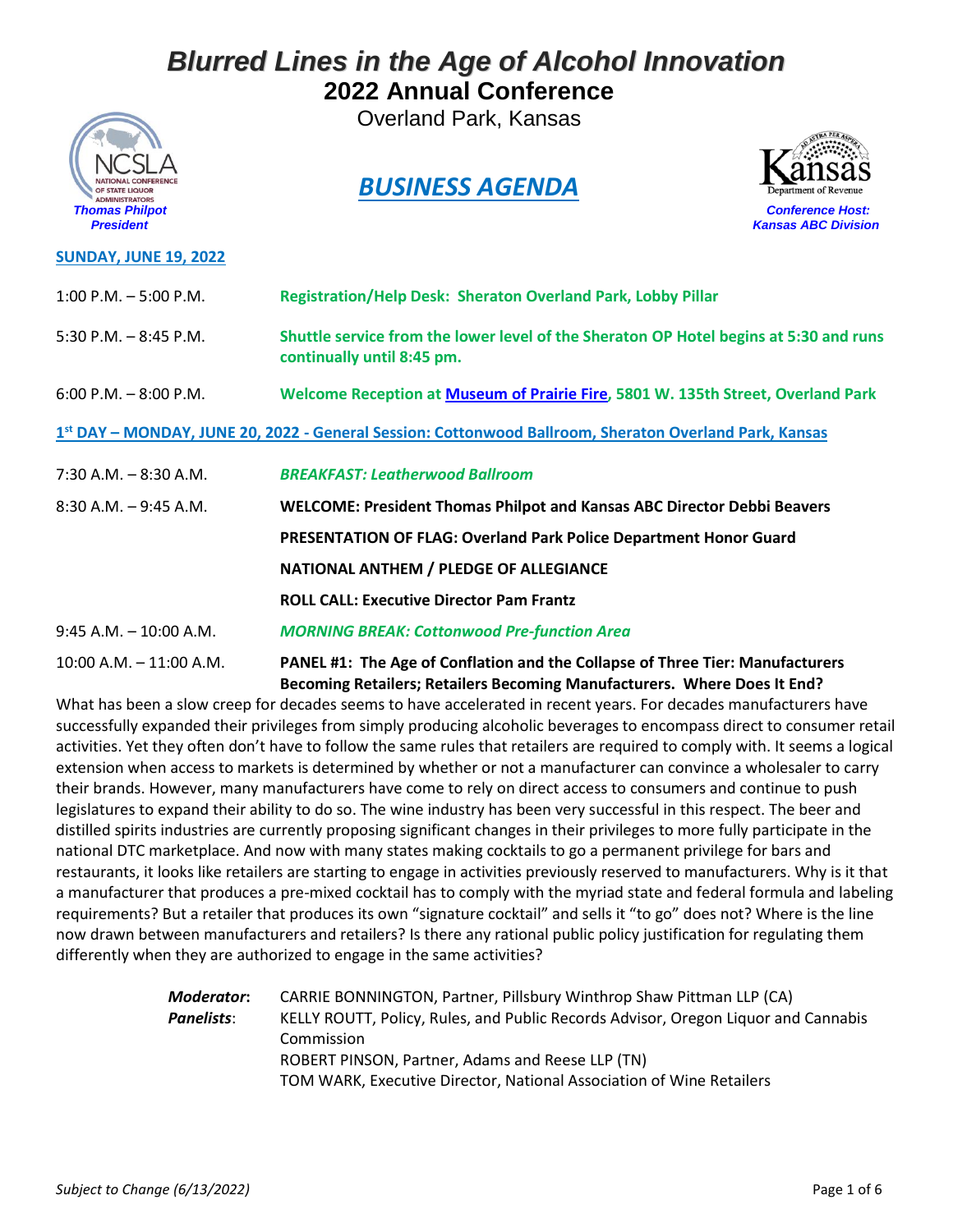Overland Park, Kansas



#### **SUNDAY, JUNE 19, 2022**

### *BUSINESS AGENDA*



| $1:00$ P.M. $-5:00$ P.M.   | <b>Registration/Help Desk: Sheraton Overland Park, Lobby Pillar</b>                                                                                       |
|----------------------------|-----------------------------------------------------------------------------------------------------------------------------------------------------------|
| 5:30 P.M. $-$ 8:45 P.M.    | Shuttle service from the lower level of the Sheraton OP Hotel begins at 5:30 and runs<br>continually until 8:45 pm.                                       |
| $6:00$ P.M. $-8:00$ P.M.   | Welcome Reception at Museum of Prairie Fire, 5801 W. 135th Street, Overland Park                                                                          |
|                            | 1st DAY - MONDAY, JUNE 20, 2022 - General Session: Cottonwood Ballroom, Sheraton Overland Park, Kansas                                                    |
| $7:30$ A.M. $-8:30$ A.M.   | <b>BREAKFAST: Leatherwood Ballroom</b>                                                                                                                    |
| $8:30$ A.M. $-9:45$ A.M.   | <b>WELCOME: President Thomas Philpot and Kansas ABC Director Debbi Beavers</b>                                                                            |
|                            | <b>PRESENTATION OF FLAG: Overland Park Police Department Honor Guard</b>                                                                                  |
|                            | NATIONAL ANTHEM / PLEDGE OF ALLEGIANCE                                                                                                                    |
|                            | <b>ROLL CALL: Executive Director Pam Frantz</b>                                                                                                           |
| $9:45$ A.M. $-10:00$ A.M.  | <b>MORNING BREAK: Cottonwood Pre-function Area</b>                                                                                                        |
| $10:00$ A.M. $-11:00$ A.M. | PANEL #1: The Age of Conflation and the Collapse of Three Tier: Manufacturers<br>Becoming Retailers; Retailers Becoming Manufacturers. Where Does It End? |

What has been a slow creep for decades seems to have accelerated in recent years. For decades manufacturers have successfully expanded their privileges from simply producing alcoholic beverages to encompass direct to consumer retail activities. Yet they often don't have to follow the same rules that retailers are required to comply with. It seems a logical extension when access to markets is determined by whether or not a manufacturer can convince a wholesaler to carry their brands. However, many manufacturers have come to rely on direct access to consumers and continue to push legislatures to expand their ability to do so. The wine industry has been very successful in this respect. The beer and distilled spirits industries are currently proposing significant changes in their privileges to more fully participate in the national DTC marketplace. And now with many states making cocktails to go a permanent privilege for bars and restaurants, it looks like retailers are starting to engage in activities previously reserved to manufacturers. Why is it that a manufacturer that produces a pre-mixed cocktail has to comply with the myriad state and federal formula and labeling requirements? But a retailer that produces its own "signature cocktail" and sells it "to go" does not? Where is the line now drawn between manufacturers and retailers? Is there any rational public policy justification for regulating them differently when they are authorized to engage in the same activities?

| Moderator: | CARRIE BONNINGTON, Partner, Pillsbury Winthrop Shaw Pittman LLP (CA)               |
|------------|------------------------------------------------------------------------------------|
| Panelists: | KELLY ROUTT, Policy, Rules, and Public Records Advisor, Oregon Liquor and Cannabis |
|            | Commission                                                                         |
|            | ROBERT PINSON, Partner, Adams and Reese LLP (TN)                                   |
|            | TOM WARK, Executive Director, National Association of Wine Retailers               |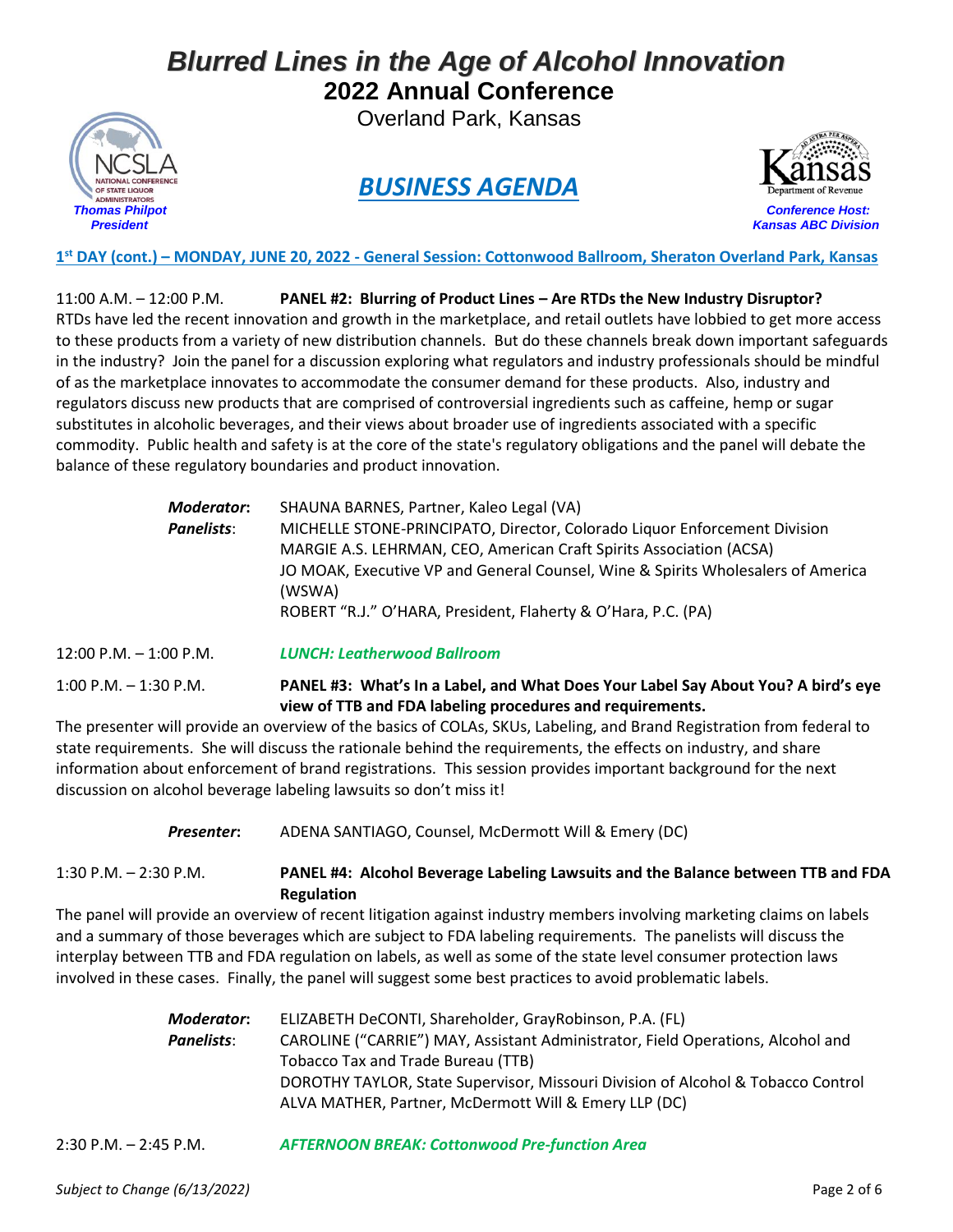Overland Park, Kansas



### *BUSINESS AGENDA*



 *Thomas Philpot Conference Host: President Kansas ABC Division*

**1 st DAY (cont.) – MONDAY, JUNE 20, 2022 - General Session: Cottonwood Ballroom, Sheraton Overland Park, Kansas**

11:00 A.M. – 12:00 P.M. **PANEL #2: Blurring of Product Lines – Are RTDs the New Industry Disruptor?** RTDs have led the recent innovation and growth in the marketplace, and retail outlets have lobbied to get more access to these products from a variety of new distribution channels. But do these channels break down important safeguards in the industry? Join the panel for a discussion exploring what regulators and industry professionals should be mindful of as the marketplace innovates to accommodate the consumer demand for these products. Also, industry and regulators discuss new products that are comprised of controversial ingredients such as caffeine, hemp or sugar substitutes in alcoholic beverages, and their views about broader use of ingredients associated with a specific commodity. Public health and safety is at the core of the state's regulatory obligations and the panel will debate the balance of these regulatory boundaries and product innovation.

| Moderator:                                                                                     | SHAUNA BARNES, Partner, Kaleo Legal (VA)                                         |
|------------------------------------------------------------------------------------------------|----------------------------------------------------------------------------------|
| MICHELLE STONE-PRINCIPATO, Director, Colorado Liquor Enforcement Division<br><b>Panelists:</b> |                                                                                  |
|                                                                                                | MARGIE A.S. LEHRMAN, CEO, American Craft Spirits Association (ACSA)              |
|                                                                                                | JO MOAK, Executive VP and General Counsel, Wine & Spirits Wholesalers of America |
|                                                                                                | (WSWA)                                                                           |
|                                                                                                | ROBERT "R.J." O'HARA, President, Flaherty & O'Hara, P.C. (PA)                    |

12:00 P.M. – 1:00 P.M. *LUNCH: Leatherwood Ballroom*

1:00 P.M. – 1:30 P.M. **PANEL #3: What's In a Label, and What Does Your Label Say About You? A bird's eye view of TTB and FDA labeling procedures and requirements.** 

The presenter will provide an overview of the basics of COLAs, SKUs, Labeling, and Brand Registration from federal to state requirements. She will discuss the rationale behind the requirements, the effects on industry, and share information about enforcement of brand registrations. This session provides important background for the next discussion on alcohol beverage labeling lawsuits so don't miss it!

*Presenter***:** ADENA SANTIAGO, Counsel, McDermott Will & Emery (DC)

1:30 P.M. – 2:30 P.M. **PANEL #4: Alcohol Beverage Labeling Lawsuits and the Balance between TTB and FDA Regulation**

The panel will provide an overview of recent litigation against industry members involving marketing claims on labels and a summary of those beverages which are subject to FDA labeling requirements. The panelists will discuss the interplay between TTB and FDA regulation on labels, as well as some of the state level consumer protection laws involved in these cases. Finally, the panel will suggest some best practices to avoid problematic labels.

| Moderator: | ELIZABETH DeCONTI, Shareholder, GrayRobinson, P.A. (FL)                          |
|------------|----------------------------------------------------------------------------------|
| Panelists: | CAROLINE ("CARRIE") MAY, Assistant Administrator, Field Operations, Alcohol and  |
|            | Tobacco Tax and Trade Bureau (TTB)                                               |
|            | DOROTHY TAYLOR, State Supervisor, Missouri Division of Alcohol & Tobacco Control |
|            | ALVA MATHER, Partner, McDermott Will & Emery LLP (DC)                            |

2:30 P.M. – 2:45 P.M. *AFTERNOON BREAK: Cottonwood Pre-function Area*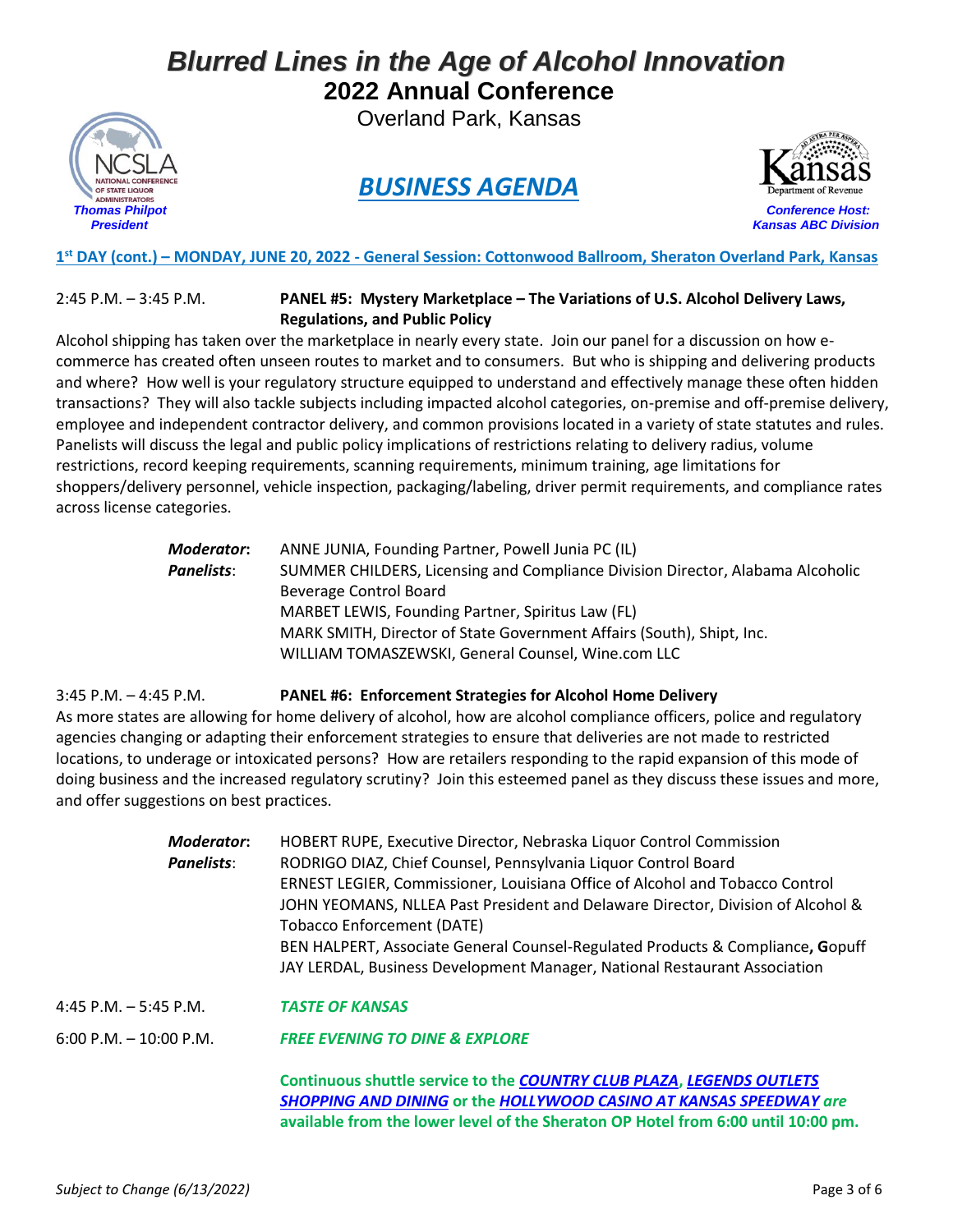Overland Park, Kansas



### *BUSINESS AGENDA*



 *Thomas Philpot Conference Host: President Kansas ABC Division*

**1 st DAY (cont.) – MONDAY, JUNE 20, 2022 - General Session: Cottonwood Ballroom, Sheraton Overland Park, Kansas**

#### 2:45 P.M. – 3:45 P.M. **PANEL #5: Mystery Marketplace – The Variations of U.S. Alcohol Delivery Laws, Regulations, and Public Policy**

Alcohol shipping has taken over the marketplace in nearly every state. Join our panel for a discussion on how ecommerce has created often unseen routes to market and to consumers. But who is shipping and delivering products and where? How well is your regulatory structure equipped to understand and effectively manage these often hidden transactions? They will also tackle subjects including impacted alcohol categories, on-premise and off-premise delivery, employee and independent contractor delivery, and common provisions located in a variety of state statutes and rules. Panelists will discuss the legal and public policy implications of restrictions relating to delivery radius, volume restrictions, record keeping requirements, scanning requirements, minimum training, age limitations for shoppers/delivery personnel, vehicle inspection, packaging/labeling, driver permit requirements, and compliance rates across license categories.

| Moderator:        | ANNE JUNIA, Founding Partner, Powell Junia PC (IL)                             |
|-------------------|--------------------------------------------------------------------------------|
| <b>Panelists:</b> | SUMMER CHILDERS, Licensing and Compliance Division Director, Alabama Alcoholic |
|                   | Beverage Control Board                                                         |
|                   | MARBET LEWIS, Founding Partner, Spiritus Law (FL)                              |
|                   | MARK SMITH, Director of State Government Affairs (South), Shipt, Inc.          |
|                   | WILLIAM TOMASZEWSKI, General Counsel, Wine.com LLC                             |
|                   |                                                                                |

3:45 P.M. – 4:45 P.M. **PANEL #6: Enforcement Strategies for Alcohol Home Delivery** As more states are allowing for home delivery of alcohol, how are alcohol compliance officers, police and regulatory agencies changing or adapting their enforcement strategies to ensure that deliveries are not made to restricted locations, to underage or intoxicated persons? How are retailers responding to the rapid expansion of this mode of doing business and the increased regulatory scrutiny? Join this esteemed panel as they discuss these issues and more, and offer suggestions on best practices.

| <b>Moderator:</b>         | HOBERT RUPE, Executive Director, Nebraska Liquor Control Commission                 |
|---------------------------|-------------------------------------------------------------------------------------|
| Panelists:                | RODRIGO DIAZ, Chief Counsel, Pennsylvania Liquor Control Board                      |
|                           | <b>ERNEST LEGIER, Commissioner, Louisiana Office of Alcohol and Tobacco Control</b> |
|                           | JOHN YEOMANS, NLLEA Past President and Delaware Director, Division of Alcohol &     |
|                           | Tobacco Enforcement (DATE)                                                          |
|                           | BEN HALPERT, Associate General Counsel-Regulated Products & Compliance, Gopuff      |
|                           | JAY LERDAL, Business Development Manager, National Restaurant Association           |
| 4:45 P.M. $-$ 5:45 P.M.   | <b>TASTE OF KANSAS</b>                                                              |
| $6:00$ P.M. $-10:00$ P.M. | <b>FREE EVENING TO DINE &amp; EXPLORE</b>                                           |

**Continuous shuttle service to the** *[COUNTRY CLUB PLAZA](https://countryclubplaza.com/)***,** *[LEGENDS OUTLETS](https://legendsshopping.com/)  [SHOPPING AND](https://legendsshopping.com/) DINING* **or the** *[HOLLYWOOD CASINO AT KANSAS SPEEDWAY](https://www.hollywoodcasinokansas.com/) are* **available from the lower level of the Sheraton OP Hotel from 6:00 until 10:00 pm.**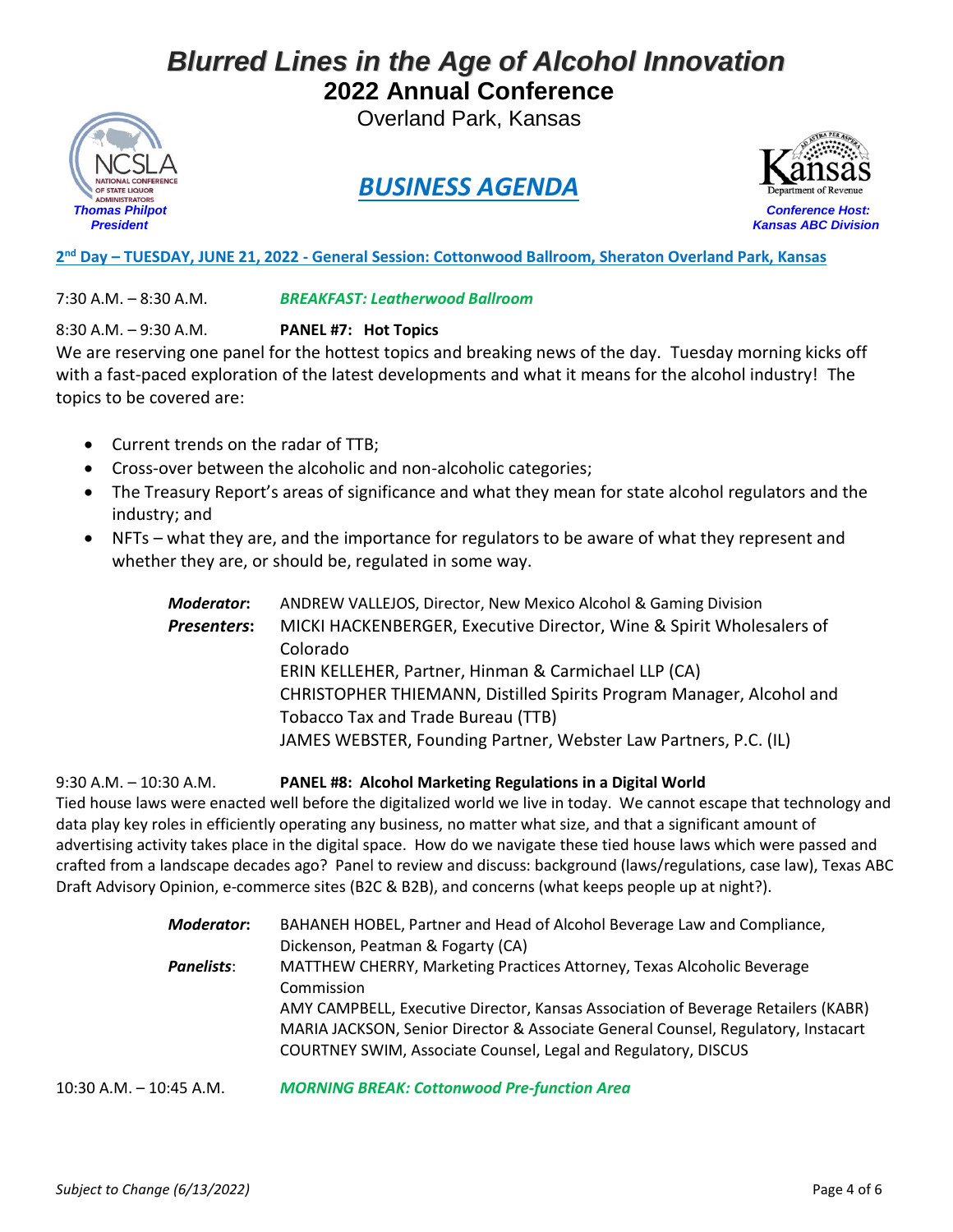Overland Park, Kansas



## *BUSINESS AGENDA*



**2 nd Day – TUESDAY, JUNE 21, 2022 - General Session: Cottonwood Ballroom, Sheraton Overland Park, Kansas**

7:30 A.M. – 8:30 A.M. *BREAKFAST: Leatherwood Ballroom*

8:30 A.M. – 9:30 A.M. **PANEL #7: Hot Topics**

We are reserving one panel for the hottest topics and breaking news of the day. Tuesday morning kicks off with a fast-paced exploration of the latest developments and what it means for the alcohol industry! The topics to be covered are:

- Current trends on the radar of TTB;
- Cross-over between the alcoholic and non-alcoholic categories;
- The Treasury Report's areas of significance and what they mean for state alcohol regulators and the industry; and
- NFTs what they are, and the importance for regulators to be aware of what they represent and whether they are, or should be, regulated in some way.

| <b>Moderator:</b>  | ANDREW VALLEJOS, Director, New Mexico Alcohol & Gaming Division      |
|--------------------|----------------------------------------------------------------------|
| <b>Presenters:</b> | MICKI HACKENBERGER, Executive Director, Wine & Spirit Wholesalers of |
|                    | Colorado                                                             |
|                    | ERIN KELLEHER, Partner, Hinman & Carmichael LLP (CA)                 |
|                    | CHRISTOPHER THIEMANN, Distilled Spirits Program Manager, Alcohol and |
|                    | Tobacco Tax and Trade Bureau (TTB)                                   |
|                    | JAMES WEBSTER, Founding Partner, Webster Law Partners, P.C. (IL)     |

#### 9:30 A.M. – 10:30 A.M. **PANEL #8: Alcohol Marketing Regulations in a Digital World**

Tied house laws were enacted well before the digitalized world we live in today. We cannot escape that technology and data play key roles in efficiently operating any business, no matter what size, and that a significant amount of advertising activity takes place in the digital space. How do we navigate these tied house laws which were passed and crafted from a landscape decades ago? Panel to review and discuss: background (laws/regulations, case law), Texas ABC Draft Advisory Opinion, e-commerce sites (B2C & B2B), and concerns (what keeps people up at night?).

| Moderator:        | BAHANEH HOBEL, Partner and Head of Alcohol Beverage Law and Compliance,           |
|-------------------|-----------------------------------------------------------------------------------|
|                   | Dickenson, Peatman & Fogarty (CA)                                                 |
| <b>Panelists:</b> | MATTHEW CHERRY, Marketing Practices Attorney, Texas Alcoholic Beverage            |
|                   | Commission                                                                        |
|                   | AMY CAMPBELL, Executive Director, Kansas Association of Beverage Retailers (KABR) |
|                   | MARIA JACKSON, Senior Director & Associate General Counsel, Regulatory, Instacart |
|                   | COURTNEY SWIM, Associate Counsel, Legal and Regulatory, DISCUS                    |
|                   |                                                                                   |

10:30 A.M. – 10:45 A.M. *MORNING BREAK: Cottonwood Pre-function Area*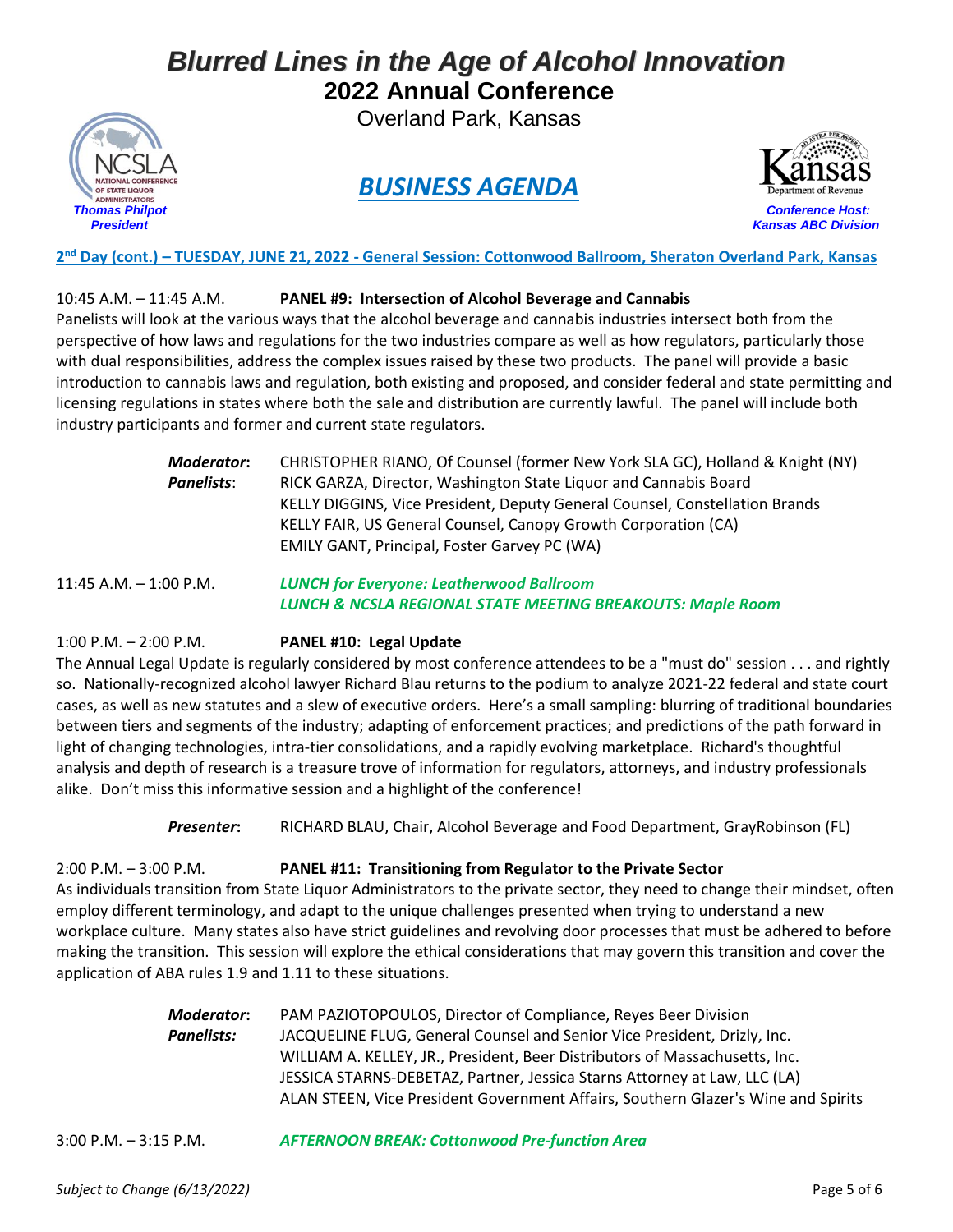Overland Park, Kansas



### *BUSINESS AGENDA*



**2 nd Day (cont.) – TUESDAY, JUNE 21, 2022 - General Session: Cottonwood Ballroom, Sheraton Overland Park, Kansas**

#### 10:45 A.M. – 11:45 A.M. **PANEL #9: Intersection of Alcohol Beverage and Cannabis**

Panelists will look at the various ways that the alcohol beverage and cannabis industries intersect both from the perspective of how laws and regulations for the two industries compare as well as how regulators, particularly those with dual responsibilities, address the complex issues raised by these two products. The panel will provide a basic introduction to cannabis laws and regulation, both existing and proposed, and consider federal and state permitting and licensing regulations in states where both the sale and distribution are currently lawful. The panel will include both industry participants and former and current state regulators.

| Moderator: | CHRISTOPHER RIANO, Of Counsel (former New York SLA GC), Holland & Knight (NY) |
|------------|-------------------------------------------------------------------------------|
| Panelists: | RICK GARZA, Director, Washington State Liquor and Cannabis Board              |
|            | KELLY DIGGINS, Vice President, Deputy General Counsel, Constellation Brands   |
|            | KELLY FAIR, US General Counsel, Canopy Growth Corporation (CA)                |
|            | <b>EMILY GANT, Principal, Foster Garvey PC (WA)</b>                           |
|            |                                                                               |

11:45 A.M. – 1:00 P.M. *LUNCH for Everyone: Leatherwood Ballroom LUNCH & NCSLA REGIONAL STATE MEETING BREAKOUTS: Maple Room*

#### 1:00 P.M. – 2:00 P.M. **PANEL #10: Legal Update**

The Annual Legal Update is regularly considered by most conference attendees to be a "must do" session . . . and rightly so. Nationally-recognized alcohol lawyer Richard Blau returns to the podium to analyze 2021-22 federal and state court cases, as well as new statutes and a slew of executive orders. Here's a small sampling: blurring of traditional boundaries between tiers and segments of the industry; adapting of enforcement practices; and predictions of the path forward in light of changing technologies, intra-tier consolidations, and a rapidly evolving marketplace. Richard's thoughtful analysis and depth of research is a treasure trove of information for regulators, attorneys, and industry professionals alike. Don't miss this informative session and a highlight of the conference!

*Presenter***:** RICHARD BLAU, Chair, Alcohol Beverage and Food Department, GrayRobinson (FL)

2:00 P.M. – 3:00 P.M. **PANEL #11: Transitioning from Regulator to the Private Sector** As individuals transition from State Liquor Administrators to the private sector, they need to change their mindset, often employ different terminology, and adapt to the unique challenges presented when trying to understand a new workplace culture. Many states also have strict guidelines and revolving door processes that must be adhered to before making the transition. This session will explore the ethical considerations that may govern this transition and cover the application of ABA rules 1.9 and 1.11 to these situations.

| Moderator:        | PAM PAZIOTOPOULOS, Director of Compliance, Reyes Beer Division                    |
|-------------------|-----------------------------------------------------------------------------------|
| <b>Panelists:</b> | JACQUELINE FLUG, General Counsel and Senior Vice President, Drizly, Inc.          |
|                   | WILLIAM A. KELLEY, JR., President, Beer Distributors of Massachusetts, Inc.       |
|                   | JESSICA STARNS-DEBETAZ, Partner, Jessica Starns Attorney at Law, LLC (LA)         |
|                   | ALAN STEEN, Vice President Government Affairs, Southern Glazer's Wine and Spirits |

3:00 P.M. – 3:15 P.M. *AFTERNOON BREAK: Cottonwood Pre-function Area*